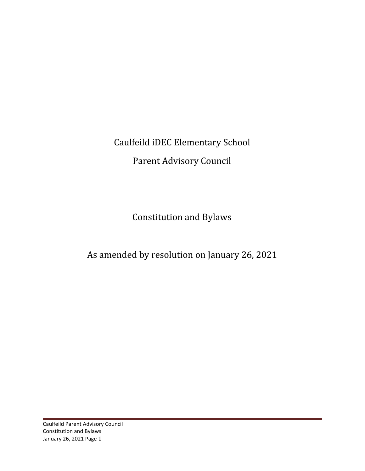Caulfeild iDEC Elementary School Parent Advisory Council

Constitution and Bylaws

As amended by resolution on January 26, 2021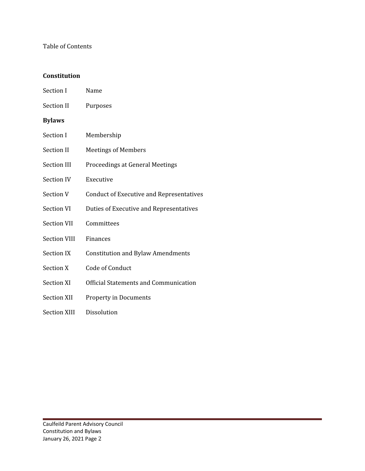### Table of Contents

### **Constitution**

| Section I           | Name                                     |
|---------------------|------------------------------------------|
| <b>Section II</b>   | Purposes                                 |
| <b>Bylaws</b>       |                                          |
| Section I           | Membership                               |
| <b>Section II</b>   | <b>Meetings of Members</b>               |
| <b>Section III</b>  | Proceedings at General Meetings          |
| <b>Section IV</b>   | Executive                                |
| <b>Section V</b>    | Conduct of Executive and Representatives |
| <b>Section VI</b>   | Duties of Executive and Representatives  |
| <b>Section VII</b>  | Committees                               |
| <b>Section VIII</b> | Finances                                 |
| <b>Section IX</b>   | <b>Constitution and Bylaw Amendments</b> |
| <b>Section X</b>    | Code of Conduct                          |
| <b>Section XI</b>   | Official Statements and Communication    |
| <b>Section XII</b>  | <b>Property in Documents</b>             |
| <b>Section XIII</b> | Dissolution                              |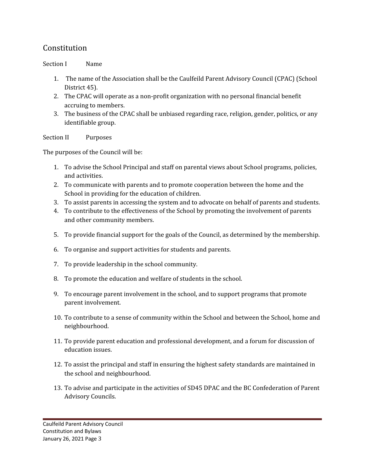# Constitution

### Section I Name

- 1. The name of the Association shall be the Caulfeild Parent Advisory Council (CPAC) (School District 45).
- 2. The CPAC will operate as a non-profit organization with no personal financial benefit accruing to members.
- 3. The business of the CPAC shall be unbiased regarding race, religion, gender, politics, or any identifiable group.

Section II Purposes

The purposes of the Council will be:

- 1. To advise the School Principal and staff on parental views about School programs, policies, and activities.
- 2. To communicate with parents and to promote cooperation between the home and the School in providing for the education of children.
- 3. To assist parents in accessing the system and to advocate on behalf of parents and students.
- 4. To contribute to the effectiveness of the School by promoting the involvement of parents and other community members.
- 5. To provide financial support for the goals of the Council, as determined by the membership.
- 6. To organise and support activities for students and parents.
- 7. To provide leadership in the school community.
- 8. To promote the education and welfare of students in the school.
- 9. To encourage parent involvement in the school, and to support programs that promote parent involvement.
- 10. To contribute to a sense of community within the School and between the School, home and neighbourhood.
- 11. To provide parent education and professional development, and a forum for discussion of education issues.
- 12. To assist the principal and staff in ensuring the highest safety standards are maintained in the school and neighbourhood.
- 13. To advise and participate in the activities of SD45 DPAC and the BC Confederation of Parent Advisory Councils.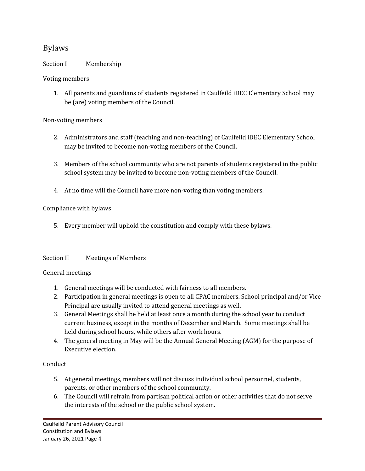## Bylaws

### Section I Membership

### Voting members

1. All parents and guardians of students registered in Caulfeild iDEC Elementary School may be (are) voting members of the Council.

#### Non-voting members

- 2. Administrators and staff (teaching and non-teaching) of Caulfeild iDEC Elementary School may be invited to become non-voting members of the Council.
- 3. Members of the school community who are not parents of students registered in the public school system may be invited to become non-voting members of the Council.
- 4. At no time will the Council have more non-voting than voting members.

### Compliance with bylaws

5. Every member will uphold the constitution and comply with these bylaws.

#### Section II Meetings of Members

#### General meetings

- 1. General meetings will be conducted with fairness to all members.
- 2. Participation in general meetings is open to all CPAC members. School principal and/or Vice Principal are usually invited to attend general meetings as well.
- 3. General Meetings shall be held at least once a month during the school year to conduct current business, except in the months of December and March. Some meetings shall be held during school hours, while others after work hours.
- 4. The general meeting in May will be the Annual General Meeting (AGM) for the purpose of Executive election.

#### Conduct

- 5. At general meetings, members will not discuss individual school personnel, students, parents, or other members of the school community.
- 6. The Council will refrain from partisan political action or other activities that do not serve the interests of the school or the public school system.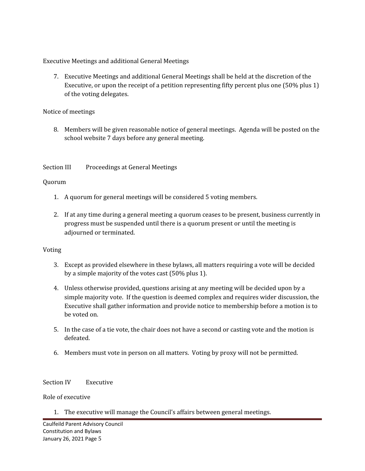Executive Meetings and additional General Meetings

7. Executive Meetings and additional General Meetings shall be held at the discretion of the Executive, or upon the receipt of a petition representing fifty percent plus one (50% plus 1) of the voting delegates.

### Notice of meetings

8. Members will be given reasonable notice of general meetings. Agenda will be posted on the school website 7 days before any general meeting.

Section III Proceedings at General Meetings

### Quorum

- 1. A quorum for general meetings will be considered 5 voting members.
- 2. If at any time during a general meeting a quorum ceases to be present, business currently in progress must be suspended until there is a quorum present or until the meeting is adjourned or terminated.

## Voting

- 3. Except as provided elsewhere in these bylaws, all matters requiring a vote will be decided by a simple majority of the votes cast (50% plus 1).
- 4. Unless otherwise provided, questions arising at any meeting will be decided upon by a simple majority vote. If the question is deemed complex and requires wider discussion, the Executive shall gather information and provide notice to membership before a motion is to be voted on.
- 5. In the case of a tie vote, the chair does not have a second or casting vote and the motion is defeated.
- 6. Members must vote in person on all matters. Voting by proxy will not be permitted.

#### Section IV Executive

Role of executive

1. The executive will manage the Council's affairs between general meetings.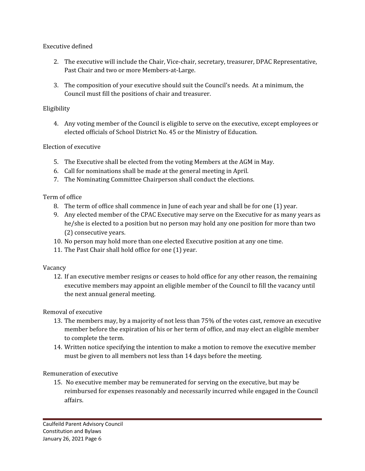Executive defined

- 2. The executive will include the Chair, Vice-chair, secretary, treasurer, DPAC Representative, Past Chair and two or more Members-at-Large.
- 3. The composition of your executive should suit the Council's needs. At a minimum, the Council must fill the positions of chair and treasurer.

## Eligibility

4. Any voting member of the Council is eligible to serve on the executive, except employees or elected officials of School District No. 45 or the Ministry of Education.

## Election of executive

- 5. The Executive shall be elected from the voting Members at the AGM in May.
- 6. Call for nominations shall be made at the general meeting in April.
- 7. The Nominating Committee Chairperson shall conduct the elections.

## Term of office

- 8. The term of office shall commence in June of each year and shall be for one (1) year.
- 9. Any elected member of the CPAC Executive may serve on the Executive for as many years as he/she is elected to a position but no person may hold any one position for more than two (2) consecutive years.
- 10. No person may hold more than one elected Executive position at any one time.
- 11. The Past Chair shall hold office for one (1) year.

## Vacancy

12. If an executive member resigns or ceases to hold office for any other reason, the remaining executive members may appoint an eligible member of the Council to fill the vacancy until the next annual general meeting.

## Removal of executive

- 13. The members may, by a majority of not less than 75% of the votes cast, remove an executive member before the expiration of his or her term of office, and may elect an eligible member to complete the term.
- 14. Written notice specifying the intention to make a motion to remove the executive member must be given to all members not less than 14 days before the meeting.

## Remuneration of executive

15. No executive member may be remunerated for serving on the executive, but may be reimbursed for expenses reasonably and necessarily incurred while engaged in the Council affairs.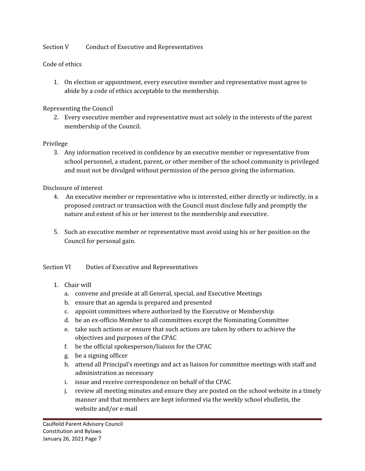#### Section V Conduct of Executive and Representatives

### Code of ethics

1. On election or appointment, every executive member and representative must agree to abide by a code of ethics acceptable to the membership.

#### Representing the Council

2. Every executive member and representative must act solely in the interests of the parent membership of the Council.

### Privilege

3. Any information received in confidence by an executive member or representative from school personnel, a student, parent, or other member of the school community is privileged and must not be divulged without permission of the person giving the information.

### Disclosure of interest

- 4. An executive member or representative who is interested, either directly or indirectly, in a proposed contract or transaction with the Council must disclose fully and promptly the nature and extent of his or her interest to the membership and executive.
- 5. Such an executive member or representative must avoid using his or her position on the Council for personal gain.

Section VI Duties of Executive and Representatives

## 1. Chair will

- a. convene and preside at all General, special, and Executive Meetings
- b. ensure that an agenda is prepared and presented
- c. appoint committees where authorized by the Executive or Membership
- d. be an ex-officio Member to all committees except the Nominating Committee
- e. take such actions or ensure that such actions are taken by others to achieve the objectives and purposes of the CPAC
- f. be the official spokesperson/liaison for the CPAC
- g. be a signing officer
- h. attend all Principal's meetings and act as liaison for committee meetings with staff and administration as necessary
- i. issue and receive correspondence on behalf of the CPAC
- j. review all meeting minutes and ensure they are posted on the school website in a timely manner and that members are kept informed via the weekly school ebulletin, the website and/or e-mail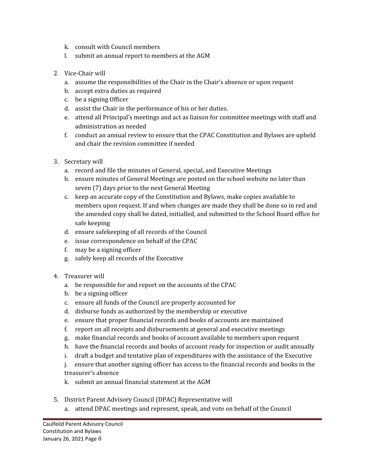- k. consult with Council members
- l. submit an annual report to members at the AGM
- 2. Vice-Chair will
	- a. assume the responsibilities of the Chair in the Chair's absence or upon request
	- b. accept extra duties as required
	- c. be a signing Officer
	- d. assist the Chair in the performance of his or her duties.
	- e. attend all Principal's meetings and act as liaison for committee meetings with staff and administration as needed
	- f. conduct an annual review to ensure that the CPAC Constitution and Bylaws are upheld and chair the revision committee if needed
- 3. Secretary will
	- a. record and file the minutes of General, special, and Executive Meetings
	- b. ensure minutes of General Meetings are posted on the school website no later than seven (7) days prior to the next General Meeting
	- c. keep an accurate copy of the Constitution and Bylaws, make copies available to members upon request. If and when changes are made they shall be done so in red and the amended copy shall be dated, initialled, and submitted to the School Board office for safe keeping
	- d. ensure safekeeping of all records of the Council
	- e. issue correspondence on behalf of the CPAC
	- f. may be a signing officer
	- g. safely keep all records of the Executive
- 4. Treasurer will
	- a. be responsible for and report on the accounts of the CPAC
	- b. be a signing officer
	- c. ensure all funds of the Council are properly accounted for
	- d. disburse funds as authorized by the membership or executive
	- e. ensure that proper financial records and books of accounts are maintained
	- f. report on all receipts and disbursements at general and executive meetings
	- g. make financial records and books of account available to members upon request
	- h. have the financial records and books of account ready for inspection or audit annually
	- i. draft a budget and tentative plan of expenditures with the assistance of the Executive
	- j. ensure that another signing officer has access to the financial records and books in the treasurer's absence
	- k. submit an annual financial statement at the AGM
- 5. District Parent Advisory Council (DPAC) Representative will
	- a. attend DPAC meetings and represent, speak, and vote on behalf of the Council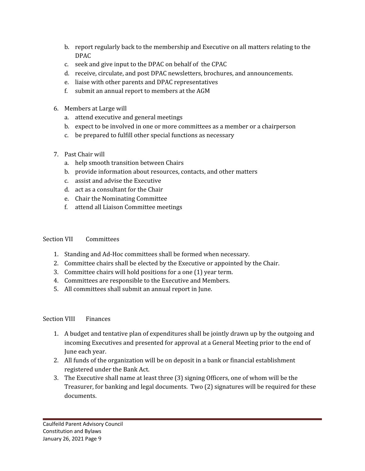- b. report regularly back to the membership and Executive on all matters relating to the DPAC
- c. seek and give input to the DPAC on behalf of the CPAC
- d. receive, circulate, and post DPAC newsletters, brochures, and announcements.
- e. liaise with other parents and DPAC representatives
- f. submit an annual report to members at the AGM
- 6. Members at Large will
	- a. attend executive and general meetings
	- b. expect to be involved in one or more committees as a member or a chairperson
	- c. be prepared to fulfill other special functions as necessary
- 7. Past Chair will
	- a. help smooth transition between Chairs
	- b. provide information about resources, contacts, and other matters
	- c. assist and advise the Executive
	- d. act as a consultant for the Chair
	- e. Chair the Nominating Committee
	- f. attend all Liaison Committee meetings

## Section VII Committees

- 1. Standing and Ad-Hoc committees shall be formed when necessary.
- 2. Committee chairs shall be elected by the Executive or appointed by the Chair.
- 3. Committee chairs will hold positions for a one (1) year term.
- 4. Committees are responsible to the Executive and Members.
- 5. All committees shall submit an annual report in June.

## Section VIII Finances

- 1. A budget and tentative plan of expenditures shall be jointly drawn up by the outgoing and incoming Executives and presented for approval at a General Meeting prior to the end of June each year.
- 2. All funds of the organization will be on deposit in a bank or financial establishment registered under the Bank Act.
- 3. The Executive shall name at least three (3) signing Officers, one of whom will be the Treasurer, for banking and legal documents. Two (2) signatures will be required for these documents.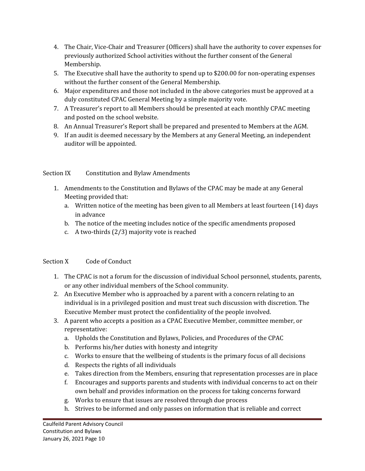- 4. The Chair, Vice-Chair and Treasurer (Officers) shall have the authority to cover expenses for previously authorized School activities without the further consent of the General Membership.
- 5. The Executive shall have the authority to spend up to \$200.00 for non-operating expenses without the further consent of the General Membership.
- 6. Major expenditures and those not included in the above categories must be approved at a duly constituted CPAC General Meeting by a simple majority vote.
- 7. A Treasurer's report to all Members should be presented at each monthly CPAC meeting and posted on the school website.
- 8. An Annual Treasurer's Report shall be prepared and presented to Members at the AGM.
- 9. If an audit is deemed necessary by the Members at any General Meeting, an independent auditor will be appointed.

## Section IX Constitution and Bylaw Amendments

- 1. Amendments to the Constitution and Bylaws of the CPAC may be made at any General Meeting provided that:
	- a. Written notice of the meeting has been given to all Members at least fourteen (14) days in advance
	- b. The notice of the meeting includes notice of the specific amendments proposed
	- c. A two-thirds (2/3) majority vote is reached

## Section X Code of Conduct

- 1. The CPAC is not a forum for the discussion of individual School personnel, students, parents, or any other individual members of the School community.
- 2. An Executive Member who is approached by a parent with a concern relating to an individual is in a privileged position and must treat such discussion with discretion. The Executive Member must protect the confidentiality of the people involved.
- 3. A parent who accepts a position as a CPAC Executive Member, committee member, or representative:
	- a. Upholds the Constitution and Bylaws, Policies, and Procedures of the CPAC
	- b. Performs his/her duties with honesty and integrity
	- c. Works to ensure that the wellbeing of students is the primary focus of all decisions
	- d. Respects the rights of all individuals
	- e. Takes direction from the Members, ensuring that representation processes are in place
	- f. Encourages and supports parents and students with individual concerns to act on their own behalf and provides information on the process for taking concerns forward
	- g. Works to ensure that issues are resolved through due process
	- h. Strives to be informed and only passes on information that is reliable and correct